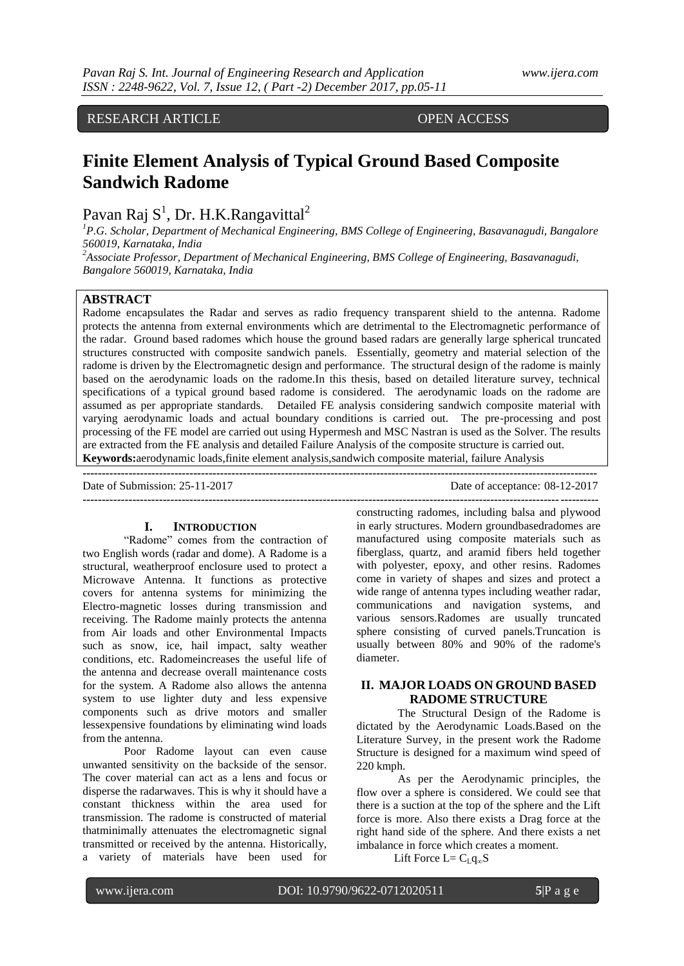RESEARCH ARTICLE OPEN ACCESS

# **Finite Element Analysis of Typical Ground Based Composite Sandwich Radome**

Pavan Raj  $S^1$ , Dr. H.K.Rangavittal<sup>2</sup>

*<sup>1</sup>P.G. Scholar, Department of Mechanical Engineering, BMS College of Engineering, Basavanagudi, Bangalore 560019, Karnataka, India*

*<sup>2</sup>Associate Professor, Department of Mechanical Engineering, BMS College of Engineering, Basavanagudi, Bangalore 560019, Karnataka, India*

# **ABSTRACT**

Radome encapsulates the Radar and serves as radio frequency transparent shield to the antenna. Radome protects the antenna from external environments which are detrimental to the Electromagnetic performance of the radar. Ground based radomes which house the ground based radars are generally large spherical truncated structures constructed with composite sandwich panels. Essentially, geometry and material selection of the radome is driven by the Electromagnetic design and performance. The structural design of the radome is mainly based on the aerodynamic loads on the radome.In this thesis, based on detailed literature survey, technical specifications of a typical ground based radome is considered. The aerodynamic loads on the radome are assumed as per appropriate standards. Detailed FE analysis considering sandwich composite material with varying aerodynamic loads and actual boundary conditions is carried out. The pre-processing and post processing of the FE model are carried out using Hypermesh and MSC Nastran is used as the Solver. The results are extracted from the FE analysis and detailed Failure Analysis of the composite structure is carried out. **Keywords:**aerodynamic loads,finite element analysis,sandwich composite material, failure Analysis

**---------------------------------------------------------------------------------------------------------------------------------------** Date of Submission: 25-11-2017 Date of acceptance: 08-12-2017

**---------------------------------------------------------------------------------------------------------------------------------------**

#### **I. INTRODUCTION**

"Radome" comes from the contraction of two English words (radar and dome). A Radome is a structural, weatherproof enclosure used to protect a Microwave Antenna. It functions as protective covers for antenna systems for minimizing the Electro-magnetic losses during transmission and receiving. The Radome mainly protects the antenna from Air loads and other Environmental Impacts such as snow, ice, hail impact, salty weather conditions, etc. Radomeincreases the useful life of the antenna and decrease overall maintenance costs for the system. A Radome also allows the antenna system to use lighter duty and less expensive components such as drive motors and smaller lessexpensive foundations by eliminating wind loads from the antenna.

Poor Radome layout can even cause unwanted sensitivity on the backside of the sensor. The cover material can act as a lens and focus or disperse the radarwaves. This is why it should have a constant thickness within the area used for transmission. The radome is constructed of material thatminimally attenuates the electromagnetic signal transmitted or received by the antenna. Historically, a variety of materials have been used for

constructing radomes, including balsa and plywood in early structures. Modern groundbasedradomes are manufactured using composite materials such as fiberglass, quartz, and aramid fibers held together with polyester, epoxy, and other resins. Radomes come in variety of shapes and sizes and protect a wide range of antenna types including weather radar, communications and navigation systems, and various sensors.Radomes are usually truncated sphere consisting of curved panels.Truncation is usually between 80% and 90% of the radome's diameter.

# **II. MAJOR LOADS ON GROUND BASED RADOME STRUCTURE**

The Structural Design of the Radome is dictated by the Aerodynamic Loads.Based on the Literature Survey, in the present work the Radome Structure is designed for a maximum wind speed of 220 kmph.

As per the Aerodynamic principles, the flow over a sphere is considered. We could see that there is a suction at the top of the sphere and the Lift force is more. Also there exists a Drag force at the right hand side of the sphere. And there exists a net imbalance in force which creates a moment.

Lift Force L=  $C_{L}q_{\infty}S$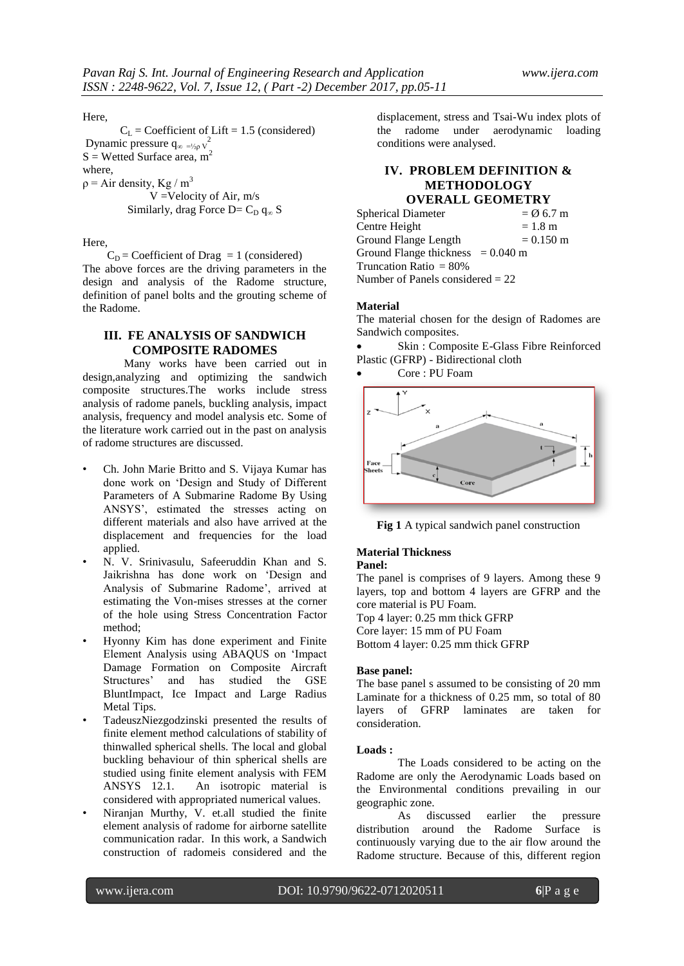Here,

 $C_L$  = Coefficient of Lift = 1.5 (considered) Dynamic pressure  $q_{\infty} = \frac{1}{2} p v^2$  $S = W$ etted Surface area, m<sup>2</sup> where,  $p = Air density, Kg / m<sup>3</sup>$ V =Velocity of Air, m/s Similarly, drag Force D=  $C_D$   $q_\infty$  S

Here,

 $C_D$  = Coefficient of Drag = 1 (considered) The above forces are the driving parameters in the design and analysis of the Radome structure, definition of panel bolts and the grouting scheme of the Radome.

# **III. FE ANALYSIS OF SANDWICH COMPOSITE RADOMES**

Many works have been carried out in design,analyzing and optimizing the sandwich composite structures.The works include stress analysis of radome panels, buckling analysis, impact analysis, frequency and model analysis etc. Some of the literature work carried out in the past on analysis of radome structures are discussed.

- Ch. John Marie Britto and S. Vijaya Kumar has done work on "Design and Study of Different Parameters of A Submarine Radome By Using ANSYS", estimated the stresses acting on different materials and also have arrived at the displacement and frequencies for the load applied.
- N. V. Srinivasulu, Safeeruddin Khan and S. Jaikrishna has done work on "Design and Analysis of Submarine Radome', arrived at estimating the Von-mises stresses at the corner of the hole using Stress Concentration Factor method;
- Hyonny Kim has done experiment and Finite Element Analysis using ABAQUS on "Impact Damage Formation on Composite Aircraft Structures" and has studied the GSE BluntImpact, Ice Impact and Large Radius Metal Tips.
- TadeuszNiezgodzinski presented the results of finite element method calculations of stability of thinwalled spherical shells. The local and global buckling behaviour of thin spherical shells are studied using finite element analysis with FEM ANSYS 12.1. An isotropic material is considered with appropriated numerical values.
- Niranjan Murthy, V. et.all studied the finite element analysis of radome for airborne satellite communication radar. In this work, a Sandwich construction of radomeis considered and the

displacement, stress and Tsai-Wu index plots of the radome under aerodynamic loading conditions were analysed.

#### **IV. PROBLEM DEFINITION & METHODOLOGY OVERALL GEOMETRY**

| .                                   |                   |  |  |
|-------------------------------------|-------------------|--|--|
| <b>Spherical Diameter</b>           | $=$ Ø 6.7 m       |  |  |
| Centre Height                       | $= 1.8 \text{ m}$ |  |  |
| Ground Flange Length                | $= 0.150$ m       |  |  |
| Ground Flange thickness $= 0.040$ m |                   |  |  |
| Truncation Ratio $= 80\%$           |                   |  |  |
| Number of Panels considered $= 22$  |                   |  |  |

#### **Material**

The material chosen for the design of Radomes are Sandwich composites.

 Skin : Composite E-Glass Fibre Reinforced Plastic (GFRP) - Bidirectional cloth

Core : PU Foam



**Fig 1** A typical sandwich panel construction

## **Material Thickness**

#### **Panel:**

The panel is comprises of 9 layers. Among these 9 layers, top and bottom 4 layers are GFRP and the core material is PU Foam. Top 4 layer: 0.25 mm thick GFRP

Core layer: 15 mm of PU Foam

Bottom 4 layer: 0.25 mm thick GFRP

### **Base panel:**

The base panel s assumed to be consisting of 20 mm Laminate for a thickness of 0.25 mm, so total of 80 layers of GFRP laminates are taken for consideration.

#### **Loads :**

The Loads considered to be acting on the Radome are only the Aerodynamic Loads based on the Environmental conditions prevailing in our geographic zone.

As discussed earlier the pressure distribution around the Radome Surface is continuously varying due to the air flow around the Radome structure. Because of this, different region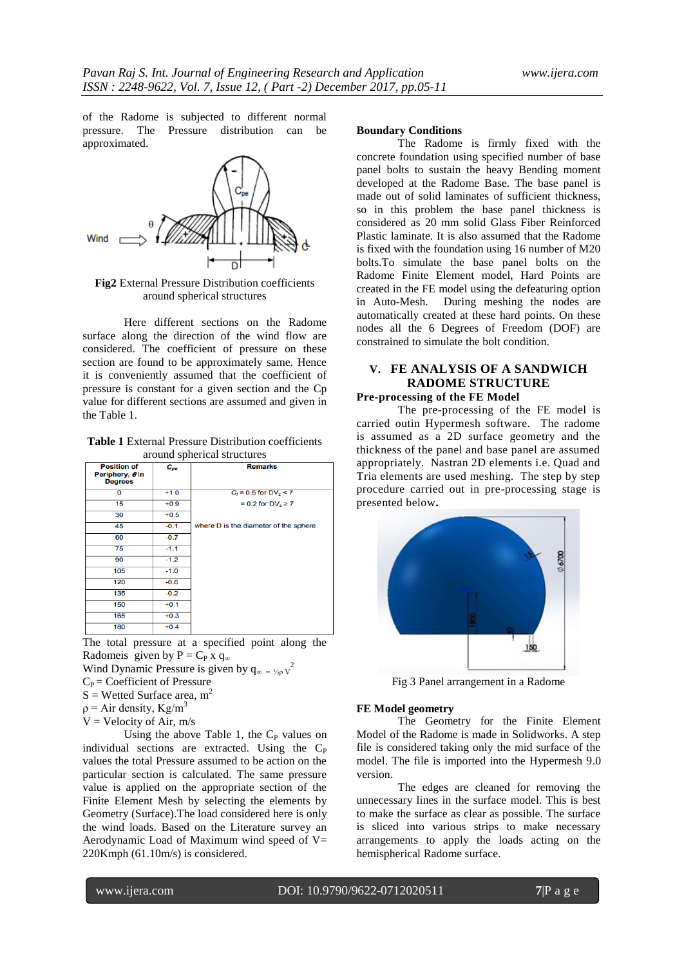of the Radome is subjected to different normal pressure. The Pressure distribution can be approximated.



**Fig2** External Pressure Distribution coefficients around spherical structures

Here different sections on the Radome surface along the direction of the wind flow are considered. The coefficient of pressure on these section are found to be approximately same. Hence it is conveniently assumed that the coefficient of pressure is constant for a given section and the Cp value for different sections are assumed and given in the Table 1.

**Table 1** External Pressure Distribution coefficients around spherical structures

| <b>Position of</b><br>Periphery, $\theta$ in<br><b>Degrees</b> | $C_{pe}$ | <b>Remarks</b>                        |
|----------------------------------------------------------------|----------|---------------------------------------|
| O                                                              | $+1.0$   | $C_1$ = 0.5 for DV <sub>z</sub> < 7   |
| 15                                                             | $+0.9$   | $= 0.2$ for DV <sub>z</sub> $\geq 7$  |
| 30                                                             | $+0.5$   |                                       |
| 45                                                             | $-0.1$   | where D is the diameter of the sphere |
| 60                                                             | $-0.7$   |                                       |
| 75                                                             | $-1.1$   |                                       |
| 90                                                             | $-1.2$   |                                       |
| 105                                                            | $-1.0$   |                                       |
| 120                                                            | $-0.6$   |                                       |
| 135                                                            | $-0.2$   |                                       |
| 150                                                            | $+0.1$   |                                       |
| 165                                                            | $+0.3$   |                                       |
| 180                                                            | $+0.4$   |                                       |

The total pressure at a specified point along the Radomeis given by  $P = C_P x q_\infty$ 

Wind Dynamic Pressure is given by  $q_{\infty} = \frac{1}{2} p v^2$ 

 $C_P$  = Coefficient of Pressure

 $S = W$ etted Surface area, m<sup>2</sup>

 $p = Air density, Kg/m<sup>3</sup>$ 

 $V = Velocity$  of Air, m/s

Using the above Table 1, the  $C_P$  values on individual sections are extracted. Using the  $C_P$ values the total Pressure assumed to be action on the particular section is calculated. The same pressure value is applied on the appropriate section of the Finite Element Mesh by selecting the elements by Geometry (Surface).The load considered here is only the wind loads. Based on the Literature survey an Aerodynamic Load of Maximum wind speed of V= 220Kmph (61.10m/s) is considered.

#### **Boundary Conditions**

The Radome is firmly fixed with the concrete foundation using specified number of base panel bolts to sustain the heavy Bending moment developed at the Radome Base. The base panel is made out of solid laminates of sufficient thickness, so in this problem the base panel thickness is considered as 20 mm solid Glass Fiber Reinforced Plastic laminate. It is also assumed that the Radome is fixed with the foundation using 16 number of M20 bolts.To simulate the base panel bolts on the Radome Finite Element model, Hard Points are created in the FE model using the defeaturing option in Auto-Mesh. During meshing the nodes are automatically created at these hard points. On these nodes all the 6 Degrees of Freedom (DOF) are constrained to simulate the bolt condition.

# **V. FE ANALYSIS OF A SANDWICH RADOME STRUCTURE**

# **Pre-processing of the FE Model**

The pre-processing of the FE model is carried outin Hypermesh software. The radome is assumed as a 2D surface geometry and the thickness of the panel and base panel are assumed appropriately. Nastran 2D elements i.e. Quad and Tria elements are used meshing. The step by step procedure carried out in pre-processing stage is presented below**.**



Fig 3 Panel arrangement in a Radome

#### **FE Model geometry**

The Geometry for the Finite Element Model of the Radome is made in Solidworks. A step file is considered taking only the mid surface of the model. The file is imported into the Hypermesh 9.0 version.

The edges are cleaned for removing the unnecessary lines in the surface model. This is best to make the surface as clear as possible. The surface is sliced into various strips to make necessary arrangements to apply the loads acting on the hemispherical Radome surface.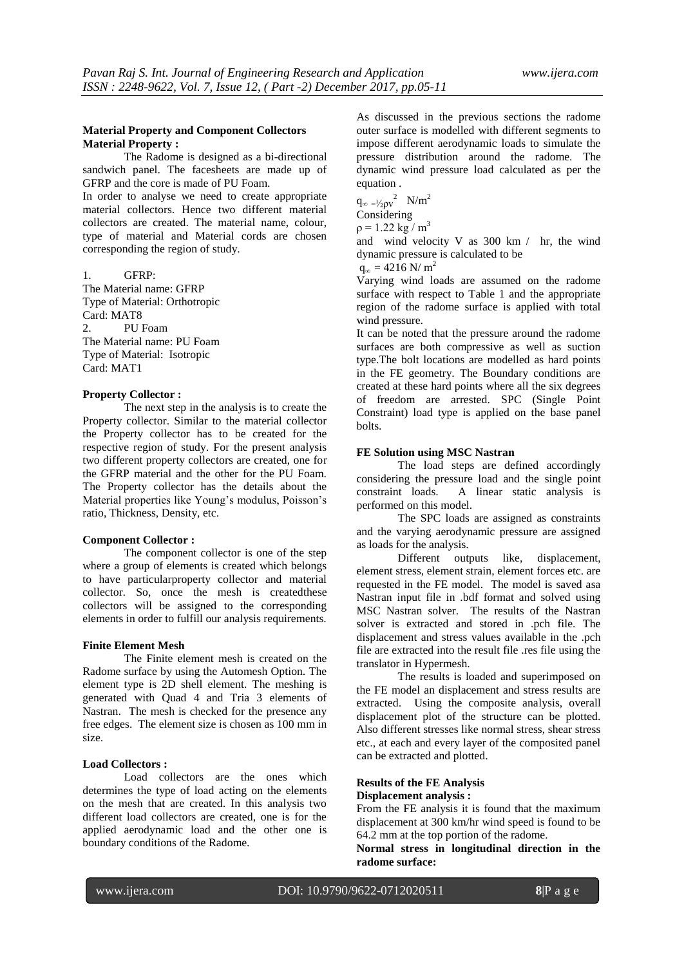### **Material Property and Component Collectors Material Property :**

The Radome is designed as a bi-directional sandwich panel. The facesheets are made up of GFRP and the core is made of PU Foam.

In order to analyse we need to create appropriate material collectors. Hence two different material collectors are created. The material name, colour, type of material and Material cords are chosen corresponding the region of study.

1. GFRP: The Material name: GFRP Type of Material: Orthotropic Card: MAT8 2. PU Foam The Material name: PU Foam Type of Material: Isotropic Card: MAT1

#### **Property Collector :**

The next step in the analysis is to create the Property collector. Similar to the material collector the Property collector has to be created for the respective region of study. For the present analysis two different property collectors are created, one for the GFRP material and the other for the PU Foam. The Property collector has the details about the Material properties like Young's modulus, Poisson's ratio, Thickness, Density, etc.

#### **Component Collector :**

The component collector is one of the step where a group of elements is created which belongs to have particularproperty collector and material collector. So, once the mesh is createdthese collectors will be assigned to the corresponding elements in order to fulfill our analysis requirements.

#### **Finite Element Mesh**

The Finite element mesh is created on the Radome surface by using the Automesh Option. The element type is 2D shell element. The meshing is generated with Quad 4 and Tria 3 elements of Nastran. The mesh is checked for the presence any free edges. The element size is chosen as 100 mm in size.

#### **Load Collectors :**

Load collectors are the ones which determines the type of load acting on the elements on the mesh that are created. In this analysis two different load collectors are created, one is for the applied aerodynamic load and the other one is boundary conditions of the Radome.

As discussed in the previous sections the radome outer surface is modelled with different segments to impose different aerodynamic loads to simulate the pressure distribution around the radome. The dynamic wind pressure load calculated as per the equation .

 $q_{\infty} = \frac{1}{2}\rho v^2$  N/m<sup>2</sup> Considering  $p = 1.22$  kg / m<sup>3</sup>

and wind velocity V as 300 km / hr, the wind dynamic pressure is calculated to be

$$
q_{\infty} = 4216 \text{ N/m}^2
$$

Varying wind loads are assumed on the radome surface with respect to Table 1 and the appropriate region of the radome surface is applied with total wind pressure.

It can be noted that the pressure around the radome surfaces are both compressive as well as suction type.The bolt locations are modelled as hard points in the FE geometry. The Boundary conditions are created at these hard points where all the six degrees of freedom are arrested. SPC (Single Point Constraint) load type is applied on the base panel bolts.

#### **FE Solution using MSC Nastran**

The load steps are defined accordingly considering the pressure load and the single point constraint loads. A linear static analysis is performed on this model.

The SPC loads are assigned as constraints and the varying aerodynamic pressure are assigned as loads for the analysis.

Different outputs like, displacement, element stress, element strain, element forces etc. are requested in the FE model. The model is saved asa Nastran input file in .bdf format and solved using MSC Nastran solver. The results of the Nastran solver is extracted and stored in .pch file. The displacement and stress values available in the .pch file are extracted into the result file .res file using the translator in Hypermesh.

The results is loaded and superimposed on the FE model an displacement and stress results are extracted. Using the composite analysis, overall displacement plot of the structure can be plotted. Also different stresses like normal stress, shear stress etc., at each and every layer of the composited panel can be extracted and plotted.

#### **Results of the FE Analysis Displacement analysis :**

From the FE analysis it is found that the maximum displacement at 300 km/hr wind speed is found to be 64.2 mm at the top portion of the radome.

**Normal stress in longitudinal direction in the radome surface:**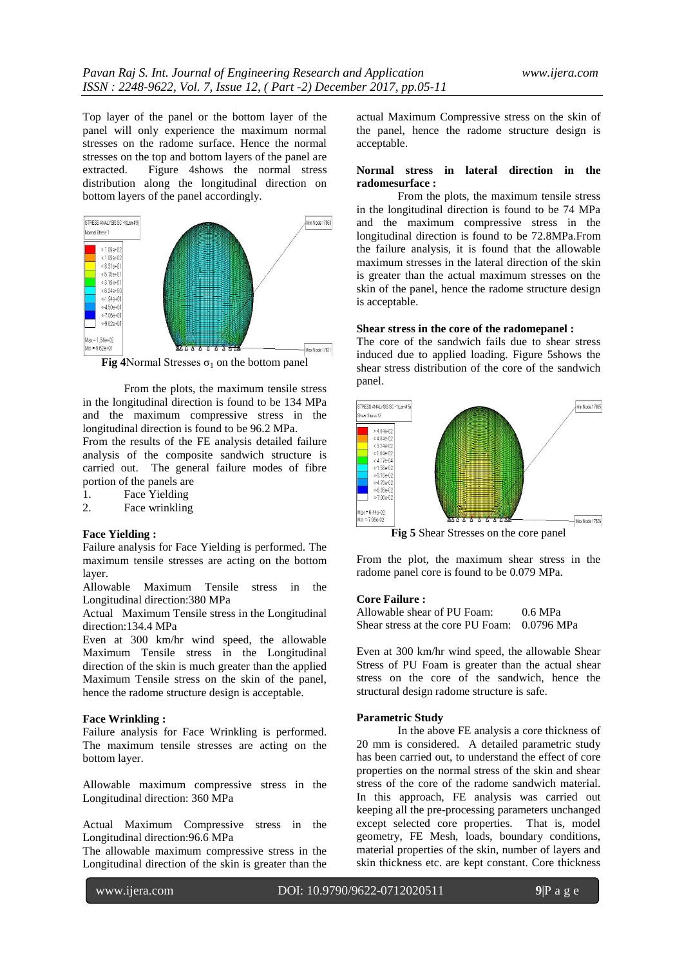Top layer of the panel or the bottom layer of the panel will only experience the maximum normal stresses on the radome surface. Hence the normal stresses on the top and bottom layers of the panel are extracted. Figure 4shows the normal stress distribution along the longitudinal direction on bottom layers of the panel accordingly.



**Fig 4**Normal Stresses  $\sigma_1$  on the bottom panel

From the plots, the maximum tensile stress in the longitudinal direction is found to be 134 MPa and the maximum compressive stress in the longitudinal direction is found to be 96.2 MPa.

From the results of the FE analysis detailed failure analysis of the composite sandwich structure is carried out. The general failure modes of fibre portion of the panels are

- 1. Face Yielding
- 2. Face wrinkling

#### **Face Yielding :**

Failure analysis for Face Yielding is performed. The maximum tensile stresses are acting on the bottom layer.

Allowable Maximum Tensile stress in the Longitudinal direction:380 MPa

Actual Maximum Tensile stress in the Longitudinal direction:134.4 MPa

Even at 300 km/hr wind speed, the allowable Maximum Tensile stress in the Longitudinal direction of the skin is much greater than the applied Maximum Tensile stress on the skin of the panel, hence the radome structure design is acceptable.

#### **Face Wrinkling :**

Failure analysis for Face Wrinkling is performed. The maximum tensile stresses are acting on the bottom layer.

Allowable maximum compressive stress in the Longitudinal direction: 360 MPa

Actual Maximum Compressive stress in the Longitudinal direction:96.6 MPa

The allowable maximum compressive stress in the Longitudinal direction of the skin is greater than the actual Maximum Compressive stress on the skin of the panel, hence the radome structure design is acceptable.

#### **Normal stress in lateral direction in the radomesurface :**

From the plots, the maximum tensile stress in the longitudinal direction is found to be 74 MPa and the maximum compressive stress in the longitudinal direction is found to be 72.8MPa.From the failure analysis, it is found that the allowable maximum stresses in the lateral direction of the skin is greater than the actual maximum stresses on the skin of the panel, hence the radome structure design is acceptable.

#### **Shear stress in the core of the radomepanel :**

The core of the sandwich fails due to shear stress induced due to applied loading. Figure 5shows the shear stress distribution of the core of the sandwich panel.



From the plot, the maximum shear stress in the radome panel core is found to be 0.079 MPa.

#### **Core Failure :**

Allowable shear of PU Foam: 0.6 MPa Shear stress at the core PU Foam: 0.0796 MPa

Even at 300 km/hr wind speed, the allowable Shear Stress of PU Foam is greater than the actual shear stress on the core of the sandwich, hence the structural design radome structure is safe.

#### **Parametric Study**

In the above FE analysis a core thickness of 20 mm is considered. A detailed parametric study has been carried out, to understand the effect of core properties on the normal stress of the skin and shear stress of the core of the radome sandwich material. In this approach, FE analysis was carried out keeping all the pre-processing parameters unchanged except selected core properties. That is, model geometry, FE Mesh, loads, boundary conditions, material properties of the skin, number of layers and skin thickness etc. are kept constant. Core thickness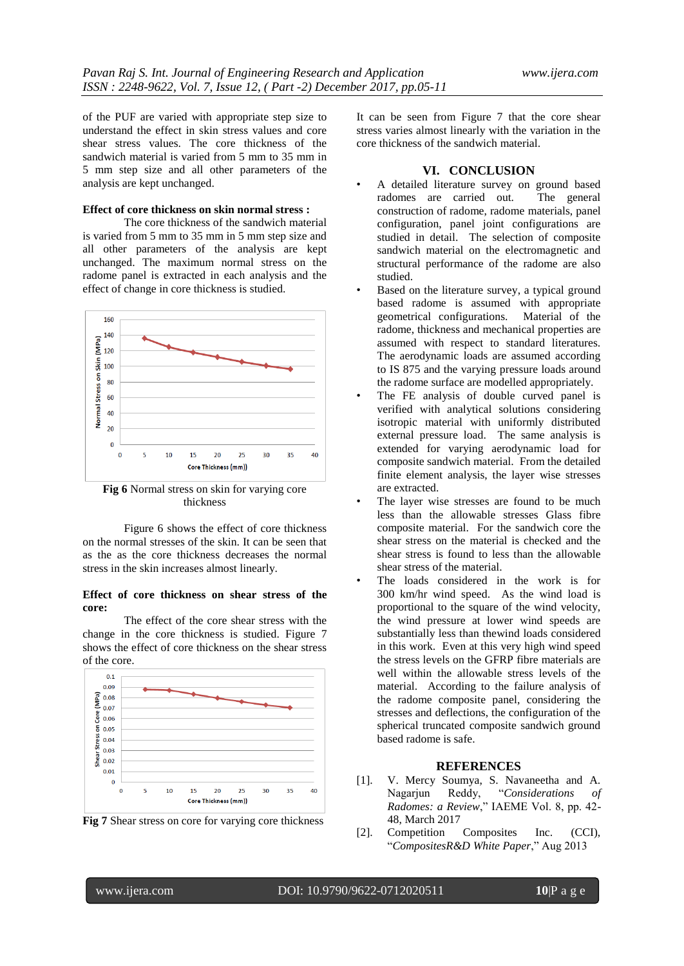of the PUF are varied with appropriate step size to understand the effect in skin stress values and core shear stress values. The core thickness of the sandwich material is varied from 5 mm to 35 mm in 5 mm step size and all other parameters of the analysis are kept unchanged.

### **Effect of core thickness on skin normal stress :**

The core thickness of the sandwich material is varied from 5 mm to 35 mm in 5 mm step size and all other parameters of the analysis are kept unchanged. The maximum normal stress on the radome panel is extracted in each analysis and the effect of change in core thickness is studied.



**Fig 6** Normal stress on skin for varying core thickness

Figure 6 shows the effect of core thickness on the normal stresses of the skin. It can be seen that as the as the core thickness decreases the normal stress in the skin increases almost linearly.

#### **Effect of core thickness on shear stress of the core:**

The effect of the core shear stress with the change in the core thickness is studied. Figure 7 shows the effect of core thickness on the shear stress of the core.





It can be seen from Figure 7 that the core shear stress varies almost linearly with the variation in the core thickness of the sandwich material.

# **VI. CONCLUSION**

- A detailed literature survey on ground based radomes are carried out. The general construction of radome, radome materials, panel configuration, panel joint configurations are studied in detail. The selection of composite sandwich material on the electromagnetic and structural performance of the radome are also studied.
- Based on the literature survey, a typical ground based radome is assumed with appropriate geometrical configurations. Material of the radome, thickness and mechanical properties are assumed with respect to standard literatures. The aerodynamic loads are assumed according to IS 875 and the varying pressure loads around the radome surface are modelled appropriately.
- The FE analysis of double curved panel is verified with analytical solutions considering isotropic material with uniformly distributed external pressure load. The same analysis is extended for varying aerodynamic load for composite sandwich material. From the detailed finite element analysis, the layer wise stresses are extracted.
- The layer wise stresses are found to be much less than the allowable stresses Glass fibre composite material. For the sandwich core the shear stress on the material is checked and the shear stress is found to less than the allowable shear stress of the material.
- The loads considered in the work is for 300 km/hr wind speed. As the wind load is proportional to the square of the wind velocity, the wind pressure at lower wind speeds are substantially less than thewind loads considered in this work. Even at this very high wind speed the stress levels on the GFRP fibre materials are well within the allowable stress levels of the material. According to the failure analysis of the radome composite panel, considering the stresses and deflections, the configuration of the spherical truncated composite sandwich ground based radome is safe.

#### **REFERENCES**

- [1]. V. Mercy Soumya, S. Navaneetha and A. Nagarjun Reddy, "*Considerations of Radomes: a Review*," IAEME Vol. 8, pp. 42- 48, March 2017
- [2]. Competition Composites Inc. (CCI), "*CompositesR&D White Paper*," Aug 2013